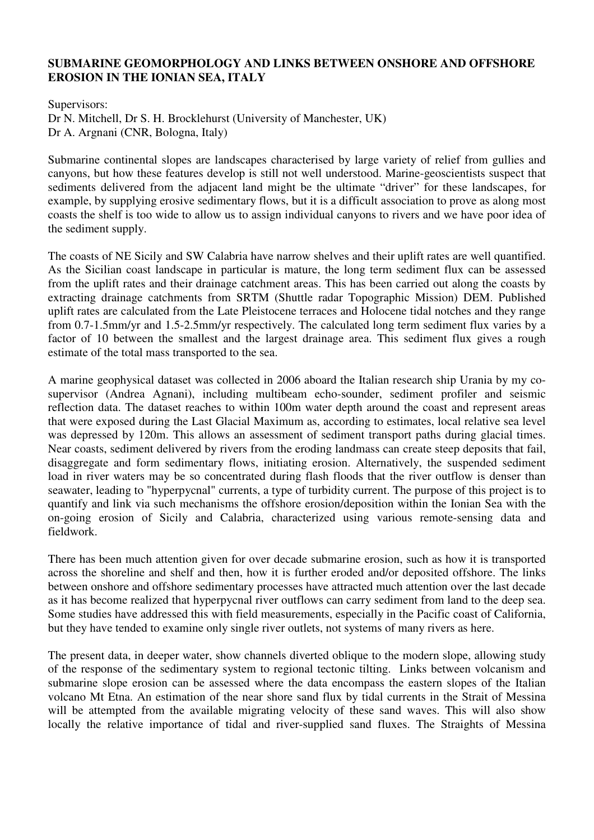## **SUBMARINE GEOMORPHOLOGY AND LINKS BETWEEN ONSHORE AND OFFSHORE EROSION IN THE IONIAN SEA, ITALY**

Supervisors: Dr N. Mitchell, Dr S. H. Brocklehurst (University of Manchester, UK) Dr A. Argnani (CNR, Bologna, Italy)

Submarine continental slopes are landscapes characterised by large variety of relief from gullies and canyons, but how these features develop is still not well understood. Marine-geoscientists suspect that sediments delivered from the adjacent land might be the ultimate "driver" for these landscapes, for example, by supplying erosive sedimentary flows, but it is a difficult association to prove as along most coasts the shelf is too wide to allow us to assign individual canyons to rivers and we have poor idea of the sediment supply.

The coasts of NE Sicily and SW Calabria have narrow shelves and their uplift rates are well quantified. As the Sicilian coast landscape in particular is mature, the long term sediment flux can be assessed from the uplift rates and their drainage catchment areas. This has been carried out along the coasts by extracting drainage catchments from SRTM (Shuttle radar Topographic Mission) DEM. Published uplift rates are calculated from the Late Pleistocene terraces and Holocene tidal notches and they range from 0.7-1.5mm/yr and 1.5-2.5mm/yr respectively. The calculated long term sediment flux varies by a factor of 10 between the smallest and the largest drainage area. This sediment flux gives a rough estimate of the total mass transported to the sea.

A marine geophysical dataset was collected in 2006 aboard the Italian research ship Urania by my cosupervisor (Andrea Agnani), including multibeam echo-sounder, sediment profiler and seismic reflection data. The dataset reaches to within 100m water depth around the coast and represent areas that were exposed during the Last Glacial Maximum as, according to estimates, local relative sea level was depressed by 120m. This allows an assessment of sediment transport paths during glacial times. Near coasts, sediment delivered by rivers from the eroding landmass can create steep deposits that fail, disaggregate and form sedimentary flows, initiating erosion. Alternatively, the suspended sediment load in river waters may be so concentrated during flash floods that the river outflow is denser than seawater, leading to "hyperpycnal" currents, a type of turbidity current. The purpose of this project is to quantify and link via such mechanisms the offshore erosion/deposition within the Ionian Sea with the on-going erosion of Sicily and Calabria, characterized using various remote-sensing data and fieldwork.

There has been much attention given for over decade submarine erosion, such as how it is transported across the shoreline and shelf and then, how it is further eroded and/or deposited offshore. The links between onshore and offshore sedimentary processes have attracted much attention over the last decade as it has become realized that hyperpycnal river outflows can carry sediment from land to the deep sea. Some studies have addressed this with field measurements, especially in the Pacific coast of California, but they have tended to examine only single river outlets, not systems of many rivers as here.

The present data, in deeper water, show channels diverted oblique to the modern slope, allowing study of the response of the sedimentary system to regional tectonic tilting. Links between volcanism and submarine slope erosion can be assessed where the data encompass the eastern slopes of the Italian volcano Mt Etna. An estimation of the near shore sand flux by tidal currents in the Strait of Messina will be attempted from the available migrating velocity of these sand waves. This will also show locally the relative importance of tidal and river-supplied sand fluxes. The Straights of Messina